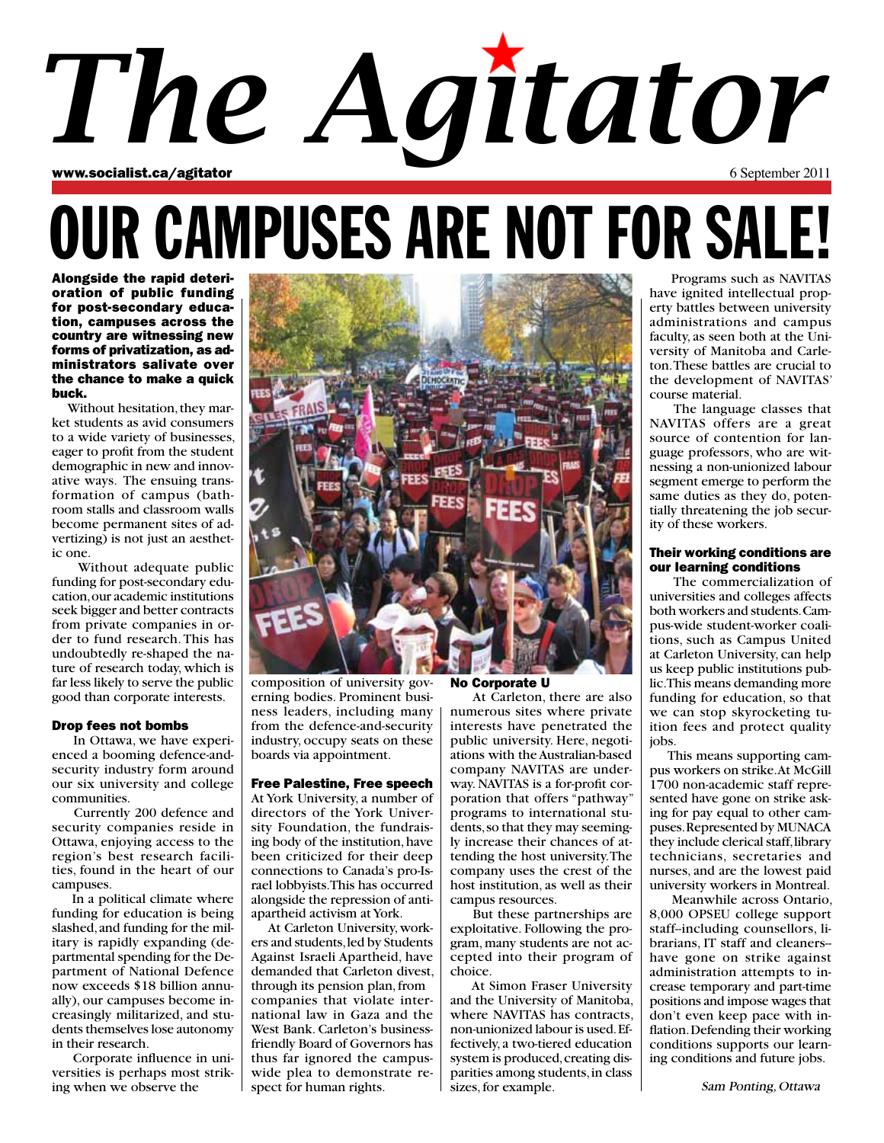## www.socialist.ca/agitator 6 September 2011 *The Agitator*

## OUR CAMPUSES ARE NOT FOR SALE!

Alongside the rapid deterioration of public funding for post-secondary education, campuses across the country are witnessing new forms of privatization, as administrators salivate over the chance to make a quick buck.

 Without hesitation, they market students as avid consumers to a wide variety of businesses, eager to profit from the student demographic in new and innovative ways. The ensuing transformation of campus (bathroom stalls and classroom walls become permanent sites of advertizing) is not just an aesthetic one.

 Without adequate public funding for post-secondary education, our academic institutions seek bigger and better contracts from private companies in order to fund research. This has undoubtedly re-shaped the nature of research today, which is far less likely to serve the public good than corporate interests.

#### Drop fees not bombs

 In Ottawa, we have experienced a booming defence-andsecurity industry form around our six university and college communities.

 Currently 200 defence and security companies reside in Ottawa, enjoying access to the region's best research facilities, found in the heart of our campuses.

 In a political climate where funding for education is being slashed, and funding for the military is rapidly expanding (departmental spending for the Department of National Defence now exceeds \$18 billion annually), our campuses become increasingly militarized, and students themselves lose autonomy in their research.

 Corporate influence in universities is perhaps most striking when we observe the



composition of university governing bodies. Prominent business leaders, including many from the defence-and-security industry, occupy seats on these boards via appointment.

#### Free Palestine, Free speech

At York University, a number of directors of the York University Foundation, the fundraising body of the institution, have been criticized for their deep connections to Canada's pro-Israel lobbyists. This has occurred alongside the repression of antiapartheid activism at York.

 At Carleton University, workers and students, led by Students Against Israeli Apartheid, have demanded that Carleton divest, through its pension plan, from companies that violate international law in Gaza and the West Bank. Carleton's businessfriendly Board of Governors has thus far ignored the campuswide plea to demonstrate respect for human rights.

#### No Corporate U

 At Carleton, there are also numerous sites where private interests have penetrated the public university. Here, negotiations with the Australian-based company NAVITAS are underway. NAVITAS is a for-profit corporation that offers "pathway" programs to international students, so that they may seemingly increase their chances of attending the host university. The company uses the crest of the host institution, as well as their campus resources.

 But these partnerships are exploitative. Following the program, many students are not accepted into their program of choice.

 At Simon Fraser University and the University of Manitoba, where NAVITAS has contracts, non-unionized labour is used. Effectively, a two-tiered education system is produced, creating disparities among students, in class sizes, for example.

 Programs such as NAVITAS have ignited intellectual property battles between university administrations and campus faculty, as seen both at the University of Manitoba and Carleton. These battles are crucial to the development of NAVITAS' course material.

 The language classes that NAVITAS offers are a great source of contention for language professors, who are witnessing a non-unionized labour segment emerge to perform the same duties as they do, potentially threatening the job security of these workers.

#### Their working conditions are our learning conditions

 The commercialization of universities and colleges affects both workers and students. Campus-wide student-worker coalitions, such as Campus United at Carleton University, can help us keep public institutions public. This means demanding more funding for education, so that we can stop skyrocketing tuition fees and protect quality jobs.

 This means supporting campus workers on strike. At McGill 1700 non-academic staff represented have gone on strike asking for pay equal to other campuses. Represented by MUNACA they include clerical staff, library technicians, secretaries and nurses, and are the lowest paid university workers in Montreal.

 Meanwhile across Ontario, 8,000 OPSEU college support staff--including counsellors, librarians, IT staff and cleaners- have gone on strike against administration attempts to increase temporary and part-time positions and impose wages that don't even keep pace with inflation. Defending their working conditions supports our learning conditions and future jobs.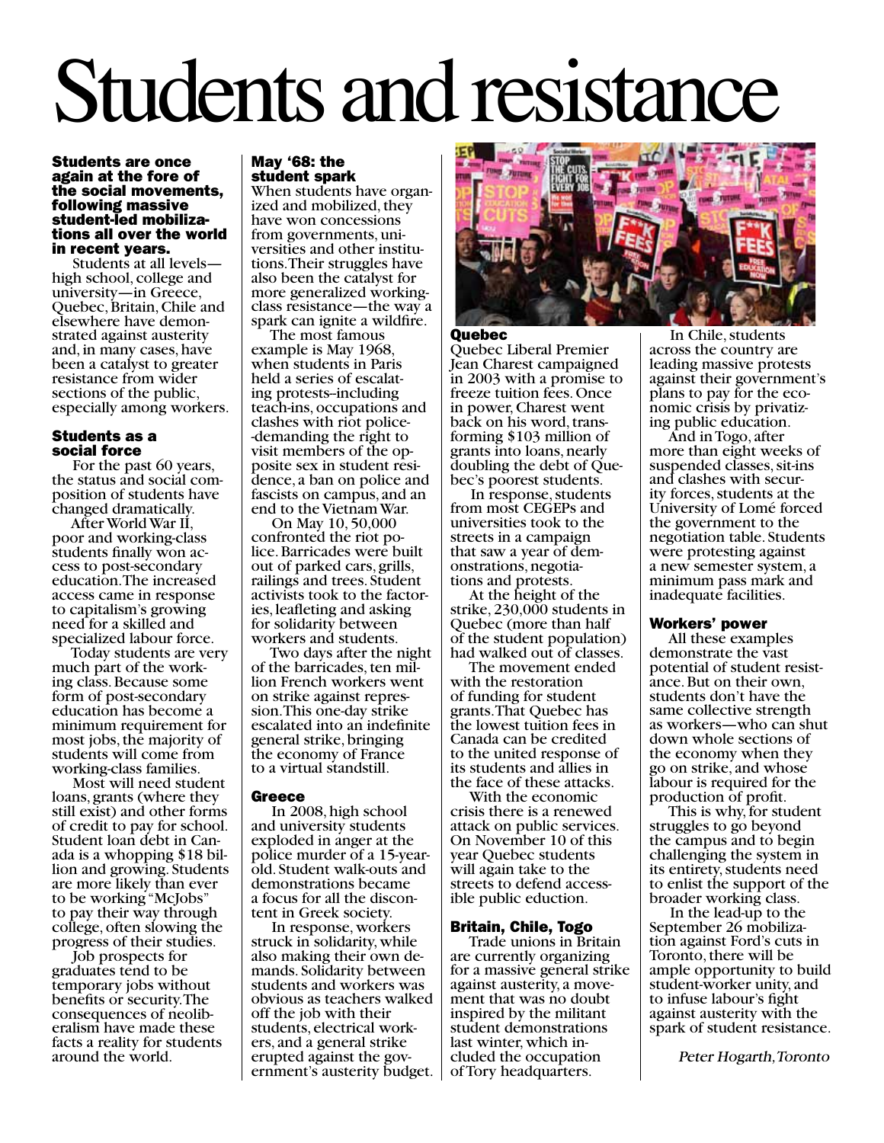# Students and resistance

#### Students are once again at the fore of the social movements, following massive tions all over the world in recent years.

 Students at all levels high school, college and university—in Greece, Quebec, Britain, Chile and elsewhere have demon- strated against austerity and, in many cases, have been a catalyst to greater resistance from wider sections of the public, especially among workers.

#### Students as a social force

 For the past 60 years, the status and social com- position of students have changed dramatically.

 After World War II, poor and working-class students finally won ac- cess to post-secondary education. The increased access came in response to capitalism's growing need for a skilled and specialized labour force.

Today students are very<br>much part of the working class. Because some form of post-secondary education has become a minimum requirement for most jobs, the majority of students will come from working-class families.

 Most will need student loans, grants (where they still exist) and other forms of credit to pay for school. ada is a whopping \$18 bil-<br>lion and growing. Students are more likely than ever to be working "McJobs" to pay their way through college, often slowing the progress of their studies.

 Job prospects for graduates tend to be temporary jobs without benefits or security. The consequences of neolib- eralism have made these facts a reality for students around the world.

#### May '68: the student spark

When students have organized and mobilized, they have won concessions<br>from governments, universities and other institu-<br>tions. Their struggles have also been the catalyst for more generalized workingclass resistance—the way a spark can ignite a wildfire.

 The most famous example is May 1968, when students in Paris held a series of escalating protests-including teach-ins, occupations and clashes with riot police- -demanding the right to posite sex in student resi-<br>dence, a ban on police and fascists on campus, and an end to the Vietnam War.

 On May 10, 50,000 lice. Barricades were built out of parked cars, grills, railings and trees. Student activists took to the factor- ies, leafleting and asking for solidarity between workers and students.

 Two days after the night of the barricades, ten mil- lion French workers went on strike against repres- sion. This one-day strike escalated into an indefinite general strike, bringing the economy of France to a virtual standstill.

#### **Greece**

 In 2008, high school and university students exploded in anger at the police murder of a 15-yearold. Student walk-outs and demonstrations became a focus for all the discon- tent in Greek society.

 In response, workers struck in solidarity, while also making their own de- mands. Solidarity between students and workers was obvious as teachers walked off the job with their students, electrical work-<br>ers, and a general strike<br>erupted against the government's austerity budget.  $\vert$ 



#### Quebec

Quebec Liberal Premier Jean Charest campaigned in 2003 with a promise to freeze tuition fees. Once in power, Charest went back on his word, trans- forming \$103 million of grants into loans, nearly doubling the debt of Que-<br>bec's poorest students.

 In response, students from most CEGEPs and universities took to the streets in a campaign that saw a year of dem-<br>onstrations, negotia-<br>tions and protests.

 At the height of the strike, 230,000 students in Quebec (more than half of the student population) had walked out of classes.

 The movement ended with the restoration of funding for student grants. That Quebec has the lowest tuition fees in Canada can be credited to the united response of its students and allies in the face of these attacks.

 With the economic crisis there is a renewed attack on public services. On November 10 of this year Quebec students will again take to the streets to defend access- ible public eduction.

#### Britain, Chile, Togo

 Trade unions in Britain are currently organizing for a massive general strike against austerity, a move- ment that was no doubt inspired by the militant student demonstrations last winter, which in- cluded the occupation of Tory headquarters.

 In Chile, students across the country are leading massive protests against their government's plans to pay for the eco-<br>nomic crisis by privatiz-<br>ing public education.

 And in Togo, after more than eight weeks of suspended classes, sit-ins and clashes with secur- ity forces, students at the University of Lomé forced the government to the negotiation table. Students were protesting against a new semester system, a minimum pass mark and inadequate facilities.

#### Workers' power

 All these examples demonstrate the vast potential of student resistance. But on their own, students don't have the same collective strength as workers—who can shut down whole sections of the economy when they go on strike, and whose labour is required for the production of profit.

 This is why, for student struggles to go beyond the campus and to begin challenging the system in its entirety, students need to enlist the support of the broader working class.

 In the lead-up to the September 26 mobiliza- tion against Ford's cuts in Toronto, there will be ample opportunity to build student-worker unity, and to infuse labour's fight against austerity with the spark of student resistance.

Peter Hogarth, Toronto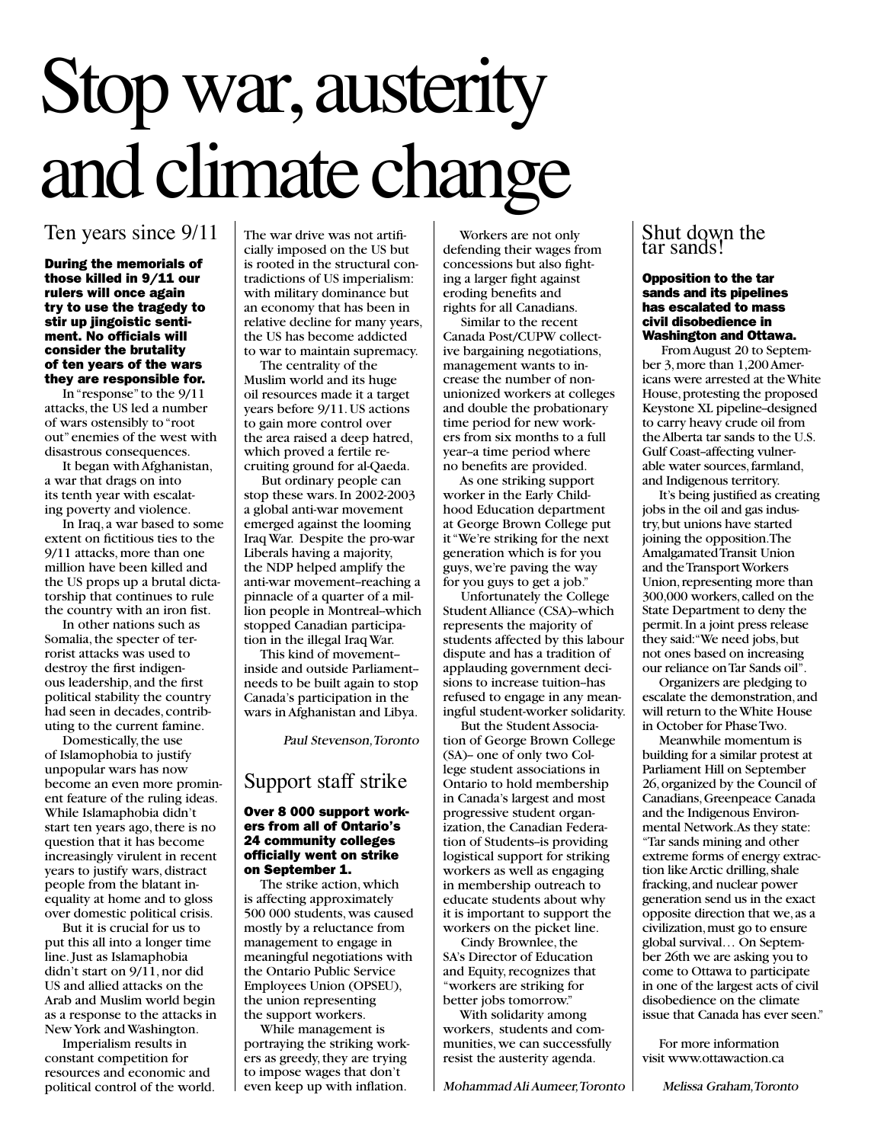## Stop war, austerity and climate change

#### Ten years since 9/11

During the memorials of those killed in 9/11 our rulers will once again try to use the tragedy to stir up jingoistic sentiment. No officials will consider the brutality of ten years of the wars they are responsible for.

 In "response" to the 9/11 attacks, the US led a number of wars ostensibly to "root out" enemies of the west with disastrous consequences.

 It began with Afghanistan, a war that drags on into its tenth year with escalating poverty and violence.

 In Iraq, a war based to some extent on fictitious ties to the 9/11 attacks, more than one million have been killed and the US props up a brutal dictatorship that continues to rule the country with an iron fist.

 In other nations such as Somalia, the specter of terrorist attacks was used to destroy the first indigenous leadership, and the first political stability the country had seen in decades, contributing to the current famine.

 Domestically, the use of Islamophobia to justify unpopular wars has now become an even more prominent feature of the ruling ideas. While Islamaphobia didn't start ten years ago, there is no question that it has become increasingly virulent in recent years to justify wars, distract people from the blatant inequality at home and to gloss over domestic political crisis.

 But it is crucial for us to put this all into a longer time line. Just as Islamaphobia didn't start on 9/11, nor did US and allied attacks on the Arab and Muslim world begin as a response to the attacks in New York and Washington.

 Imperialism results in constant competition for resources and economic and political control of the world. The war drive was not artificially imposed on the US but is rooted in the structural contradictions of US imperialism: with military dominance but an economy that has been in relative decline for many years, the US has become addicted to war to maintain supremacy.

 The centrality of the Muslim world and its huge oil resources made it a target years before 9/11. US actions to gain more control over the area raised a deep hatred, which proved a fertile recruiting ground for al-Qaeda.

 But ordinary people can stop these wars. In 2002-2003 a global anti-war movement emerged against the looming Iraq War. Despite the pro-war Liberals having a majority, the NDP helped amplify the anti-war movement--reaching a pinnacle of a quarter of a million people in Montreal-which stopped Canadian participation in the illegal Iraq War.

 This kind of movement- inside and outside Parliament- needs to be built again to stop Canada's participation in the wars in Afghanistan and Libya.

Paul Stevenson, Toronto

#### Support staff strike

#### Over 8 000 support workers from all of Ontario's 24 community colleges officially went on strike on September 1.

 The strike action, which is affecting approximately 500 000 students, was caused mostly by a reluctance from management to engage in meaningful negotiations with the Ontario Public Service Employees Union (OPSEU), the union representing the support workers.

 While management is portraying the striking workers as greedy, they are trying to impose wages that don't even keep up with inflation.

 Workers are not only defending their wages from concessions but also fighting a larger fight against eroding benefits and rights for all Canadians.

 Similar to the recent Canada Post/CUPW collective bargaining negotiations, management wants to increase the number of nonunionized workers at colleges and double the probationary time period for new workers from six months to a full year--a time period where no benefits are provided.

 As one striking support worker in the Early Childhood Education department at George Brown College put it "We're striking for the next generation which is for you guys, we're paving the way for you guys to get a job."

 Unfortunately the College Student Alliance (CSA)-which represents the majority of students affected by this labour dispute and has a tradition of applauding government decisions to increase tuition-has refused to engage in any meaningful student-worker solidarity.

 But the Student Association of George Brown College (SA)-- one of only two College student associations in Ontario to hold membership in Canada's largest and most progressive student organization, the Canadian Federation of Students--is providing logistical support for striking workers as well as engaging in membership outreach to educate students about why it is important to support the workers on the picket line.

 Cindy Brownlee, the SA's Director of Education and Equity, recognizes that "workers are striking for better jobs tomorrow."

 With solidarity among workers, students and communities, we can successfully resist the austerity agenda.

Mohammad Ali Aumeer, Toronto

### Shut down the tar sands!

#### Opposition to the tar sands and its pipelines has escalated to mass civil disobedience in Washington and Ottawa.

 From August 20 to September 3, more than 1,200 Americans were arrested at the White House, protesting the proposed Keystone XL pipeline-designed to carry heavy crude oil from the Alberta tar sands to the U.S. Gulf Coast-affecting vulnerable water sources, farmland, and Indigenous territory.

 It's being justified as creating jobs in the oil and gas industry, but unions have started joining the opposition. The Amalgamated Transit Union and the Transport Workers Union, representing more than 300,000 workers, called on the State Department to deny the permit. In a joint press release they said: "We need jobs, but not ones based on increasing our reliance on Tar Sands oil".

 Organizers are pledging to escalate the demonstration, and will return to the White House in October for Phase Two.

 Meanwhile momentum is building for a similar protest at Parliament Hill on September 26, organized by the Council of Canadians, Greenpeace Canada and the Indigenous Environmental Network. As they state: "Tar sands mining and other extreme forms of energy extraction like Arctic drilling, shale fracking, and nuclear power generation send us in the exact opposite direction that we, as a civilization, must go to ensure global survival… On September 26th we are asking you to come to Ottawa to participate in one of the largest acts of civil disobedience on the climate issue that Canada has ever seen."

 For more information visit www.ottawaction.ca

Melissa Graham, Toronto